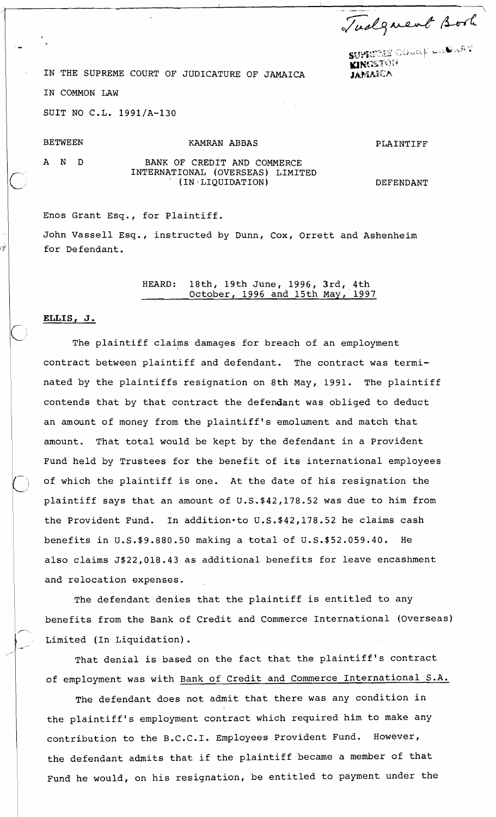Tudgment Book

," ... . . . **sWY'..t.k;.g** ' **;!jSii :,i** b, **;.+ik,.k '~~.~i~~i' <sup>8</sup>nu** .., ' **yl~t;:d'?'%:"** .'

IN THE SUPREME COURT OF JUDICATURE OF JAMAICA **WINGSTOM** IN COMMON LAW

SUIT NO C.L. 1991/A-130

## BETWEEN KAMRAN ABBAS

PLAINTIFF

١ú

## A N D BANK OF CREDIT AND COMMERCE INTERNATIONAL (OVERSEAS) LIMITED (IN LIQUIDATION)

DEFENDANT

Enos Grant Esq., for Plaintiff. John Vassell Esq., instructed by Dunn, Cox, Orrett and Ashenheim for Defendant.

> HEARD: 18th, 19th June, 1996, Jrd, 4th October, 1996 and 15th May, 1997

## **ELLIS, J.**

The plaintiff claims damages for breach of an employment contract between plaintiff and defendant. The contract was terminated by the plaintiffs resignation on 8th May, 1991. The plaintiff contends that by that contract the defendant was obliged to deduct an amount of money from the plaintiff's emolument and match that amount. That total would be kept by the defendant in a Provident Fund held by Trustees for the benefit of its international employees of which the plaintiff is one. At the date of his resignation the plaintiff says that an amount of U.S.\$42,178.52 was due to him from the Provident Fund. In addition-to U.S.\$42,178.52 he claims cash benefits in U.S.\$9.880.50 making a total of U.S.\$52.059.40. He also claims J\$22,018.43 as additional benefits for leave encashment and relocation expenses.

The defendant denies that the plaintiff is entitled to any benefits from the Bank of Credit and Commerce International (Overseas) Limited (In Liquidation).

That denial is based on the fact that the plaintiff's contract of employment was with Bank of Credit and Commerce International S.A.

The defendant does not admit that there was any condition in the plaintiff's employment contract which required him to make any contribution to the B.C.C.I. Employees Provident Fund. However, the defendant admits that if the plaintiff became a member of that Fund he would, on his resignation, be entitled to payment under the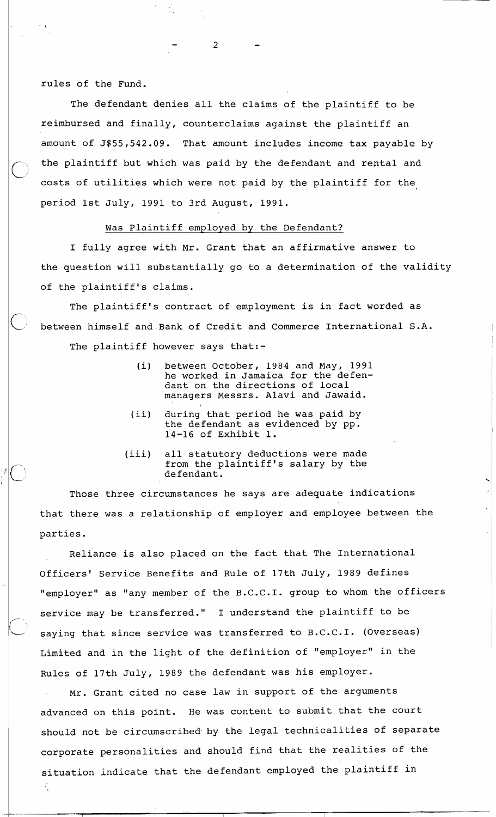rules of the Fund.

r---

**IC'** 

 $\mathcal{L}_{\mathbf{r}}$ 

The defendant denies all the claims of the plaintiff to be reimbursed and finally, counterclaims against the plaintiff an amount of J\$55,542.09. That amount includes income tax payable by the plaintiff but which was paid by the defendant and reptal and costs of utilities which were not paid by the plaintiff for the period 1st July, 1991 to 3rd August, 1991.

## Was Plaintiff employed by the Defendant?

 $\overline{2}$ 

I fully agree with Mr. Grant that an affirmative answer to the question will substantially go to a determination of the validity of the plaintiff's claims.

The plaintiff's contract of employment is in fact worded as between himself and Bank of Credit and Commerce International S.A. The plaintiff however says that:-

- (i) between October, 1984 and May, 1991 he worked in Jamaica for the defendant on the directions of local managers Messrs. Alavi and Jawaid.
- (ii) during that period he was paid by the defendant as evidenced by pp. 14-16 of Exhibit 1.
- (iii) all statutory deductions were made from the plaintiff's salary by the defendant.

Those three circumstances he says are adequate indications that there was a relationship of employer and employee between the parties.

Reliance is also placed on the fact that The International Officers' Service Benefits and Rule of 17th July, 1989 defines "employer" as "any member of the B.C.C.I. group to whom the officers service may be transferred." I understand the plaintiff to be saying that since service was transferred to B.C.C.I. (Overseas) Limited and in the light of the definition of "employer" in the Rules of 17th July, 1989 the defendant was his employer.

Mr. Grant cited no case law in support of the arguments advanced on this point. He was content to submit that the court should not be circumscribedi by the legal technicalities of separate corporate personalities and should find that the realities of the situation indicate that the defendant employed the plaintiff in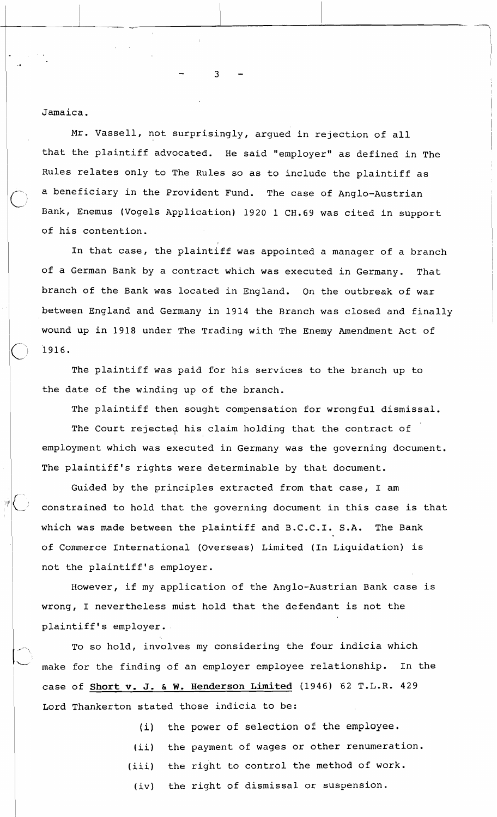Jamaica.

Mr. Vassell, not surprisingly, argued in rejection of all that the plaintiff advocated. He said "employer" as defined in The Rules relates only to The Rules so as to include the plaintiff as a beneficiary in the Provident Fund. The case of Anglo-Austrian Bank, Enemus (Vogels Application) 1920 1 CH.69 was cited in support of his contention.

In that case, the plaintiff was appointed a manager of a branch of a German Bank by a contract which was executed in Germany. That branch of the Bank was located in England. On the outbreak of war between England and Germany in 1914 the Branch was closed and finally <sup>1</sup> wound up in 1918 under The Trading with The Enemy Amendment Act of 1916.

i

I

The plaintiff was paid for his services to the branch up to the date of the winding up of the branch.

The plaintiff then sought compensation for wrongful dismissal.

The Court rejected his claim holding that the contract of employment which was executed in Germany was the governing document. The plaintiff's rights were determinable by that document.

Guided by the principles extracted from that case, I am constrained to hold that the governing document in this case is that which was made between the plaintiff and B.C.C.I. S.A. The Bank of Commerce International (Overseas) Limited (In Liquidation) is not the plaintiff's employer.

However, if my application of the Anglo-Austrian Bank case is wrong, I nevertheless must hold that the defendant is not the plaintiff's employer.

To so hold, involves my considering the four indicia which **<sup>I</sup>**L" make for the finding of an employer employee relationship. In the case of **Short** v. J. & **W. Henderson Limited** (1946) '62 T.L.R. 429 Lord Thankerton stated those indicia to be:

(i) the power of selection of the employee.

- (ii) the payment of wages or other renumeration.
- (iii) the right to control the method of work.
- (iv) the right of dismissal or suspension.

 $\overline{3}$